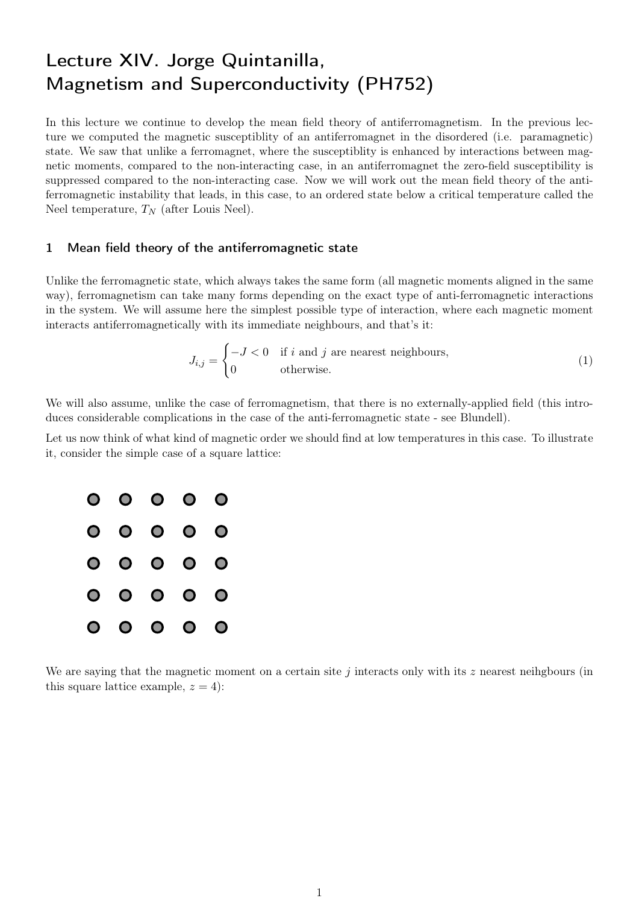## Lecture XIV. Jorge Quintanilla, Magnetism and Superconductivity (PH752)

In this lecture we continue to develop the mean field theory of antiferromagnetism. In the previous lecture we computed the magnetic susceptiblity of an antiferromagnet in the disordered (i.e. paramagnetic) state. We saw that unlike a ferromagnet, where the susceptiblity is enhanced by interactions between magnetic moments, compared to the non-interacting case, in an antiferromagnet the zero-field susceptibility is suppressed compared to the non-interacting case. Now we will work out the mean field theory of the antiferromagnetic instability that leads, in this case, to an ordered state below a critical temperature called the Neel temperature,  $T_N$  (after Louis Neel).

## 1 Mean field theory of the antiferromagnetic state

Unlike the ferromagnetic state, which always takes the same form (all magnetic moments aligned in the same way), ferromagnetism can take many forms depending on the exact type of anti-ferromagnetic interactions in the system. We will assume here the simplest possible type of interaction, where each magnetic moment interacts antiferromagnetically with its immediate neighbours, and that's it:

$$
J_{i,j} = \begin{cases} -J < 0 \quad \text{if } i \text{ and } j \text{ are nearest neighbours,} \\ 0 & \text{otherwise.} \end{cases} \tag{1}
$$

We will also assume, unlike the case of ferromagnetism, that there is no externally-applied field (this introduces considerable complications in the case of the anti-ferromagnetic state - see Blundell).

Let us now think of what kind of magnetic order we should find at low temperatures in this case. To illustrate it, consider the simple case of a square lattice:



We are saying that the magnetic moment on a certain site j interacts only with its  $z$  nearest neihgbours (in this square lattice example,  $z = 4$ :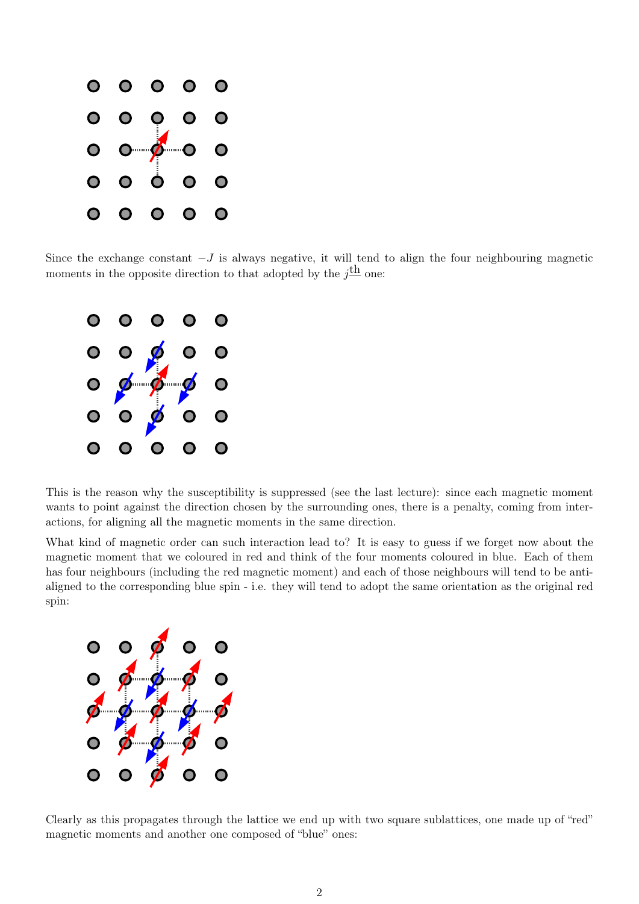

Since the exchange constant  $-J$  is always negative, it will tend to align the four neighbouring magnetic moments in the opposite direction to that adopted by the  $j^{\underline{th}}$  one:



This is the reason why the susceptibility is suppressed (see the last lecture): since each magnetic moment wants to point against the direction chosen by the surrounding ones, there is a penalty, coming from interactions, for aligning all the magnetic moments in the same direction.

What kind of magnetic order can such interaction lead to? It is easy to guess if we forget now about the magnetic moment that we coloured in red and think of the four moments coloured in blue. Each of them has four neighbours (including the red magnetic moment) and each of those neighbours will tend to be antialigned to the corresponding blue spin - i.e. they will tend to adopt the same orientation as the original red spin:



Clearly as this propagates through the lattice we end up with two square sublattices, one made up of "red" magnetic moments and another one composed of "blue" ones: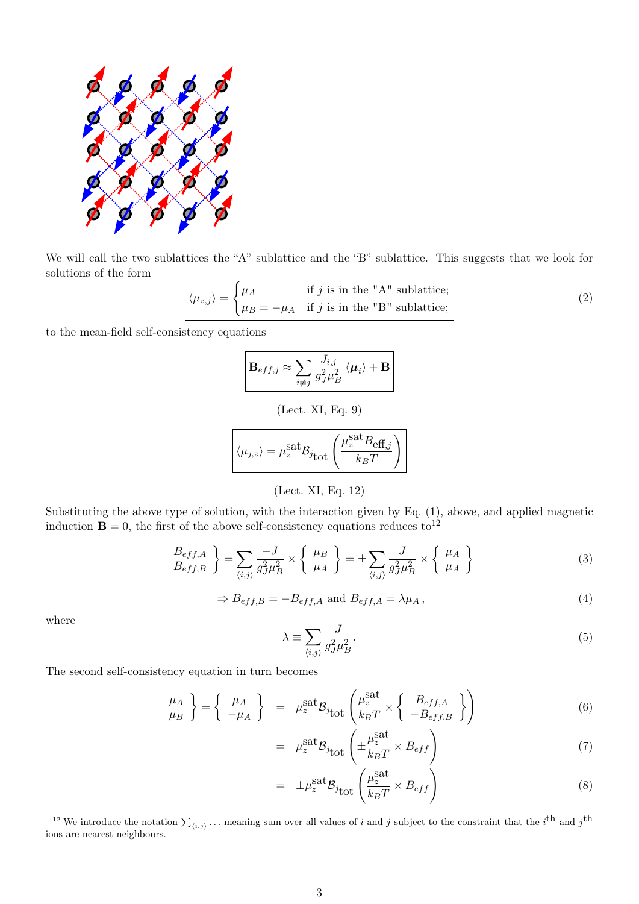

We will call the two sublattices the "A" sublattice and the "B" sublattice. This suggests that we look for solutions of the form

$$
\langle \mu_{z,j} \rangle = \begin{cases} \mu_A & \text{if } j \text{ is in the "A" sublattice;} \\ \mu_B = -\mu_A & \text{if } j \text{ is in the "B" sublattice;} \end{cases}
$$
 (2)

to the mean-field self-consistency equations

$$
\mathbf{B}_{eff,j} \approx \sum_{i \neq j} \frac{J_{i,j}}{g_J^2 \mu_B^2} \langle \mu_i \rangle + \mathbf{B}
$$

(Lect. XI, Eq. 9)

$$
\langle \mu_{j,z} \rangle = \mu_z^{\text{sat}} \mathcal{B}_{j_{\text{tot}}} \left( \frac{\mu_z^{\text{sat}} B_{\text{eff},j}}{k_B T} \right)
$$

(Lect. XI, Eq. 12)

Substituting the above type of solution, with the interaction given by Eq. (1), above, and applied magnetic induction  $\mathbf{B} = 0$ , the first of the above self-consistency equations reduces to<sup>12</sup>

$$
\begin{aligned}\n\left\{\n\begin{array}{c}\nB_{eff,A} \\
B_{eff,B}\n\end{array}\n\right\} &= \sum_{\langle i,j \rangle} \frac{-J}{g_J^2 \mu_B^2} \times \left\{\n\begin{array}{c}\n\mu_B \\
\mu_A\n\end{array}\n\right\} = \pm \sum_{\langle i,j \rangle} \frac{J}{g_J^2 \mu_B^2} \times \left\{\n\begin{array}{c}\n\mu_A \\
\mu_A\n\end{array}\n\right\}\n\end{aligned} \tag{3}
$$

$$
\Rightarrow B_{eff,B} = -B_{eff,A} \text{ and } B_{eff,A} = \lambda \mu_A, \qquad (4)
$$

where

$$
\lambda \equiv \sum_{\langle i,j \rangle} \frac{J}{g_J^2 \mu_B^2}.
$$
\n(5)

The second self-consistency equation in turn becomes

$$
\begin{pmatrix} \mu_A \\ \mu_B \end{pmatrix} = \begin{Bmatrix} \mu_A \\ -\mu_A \end{Bmatrix} = \mu_z^{\text{sat}} \mathcal{B}_{j_{\text{tot}}} \left( \frac{\mu_z^{\text{sat}}}{k_B T} \times \begin{Bmatrix} B_{eff,A} \\ -B_{eff,B} \end{Bmatrix} \right)
$$
 (6)

$$
= \mu_z^{\text{sat}} \mathcal{B}_{j_{\text{tot}}} \left( \pm \frac{\mu_z^{\text{sat}}}{k_B T} \times B_{eff} \right) \tag{7}
$$

$$
= \pm \mu_z^{\text{sat}} \mathcal{B}_{j_{\text{tot}}} \left( \frac{\mu_z^{\text{sat}}}{k_B T} \times B_{eff} \right)
$$
 (8)

<sup>&</sup>lt;sup>12</sup> We introduce the notation  $\sum_{\langle i,j \rangle} \ldots$  meaning sum over all values of i and j subject to the constraint that the i<sup>th</sup> and j<sup>th</sup> ions are nearest neighbours.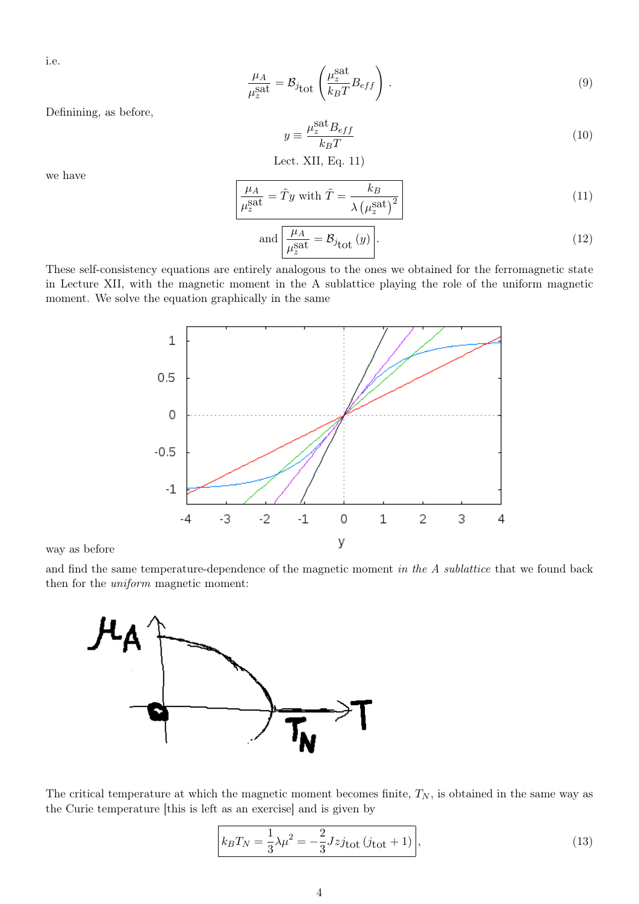i.e.

$$
\frac{\mu_A}{\mu_z^{\text{sat}}} = \mathcal{B}_{j_{\text{tot}}} \left( \frac{\mu_z^{\text{sat}}}{k_B T} B_{eff} \right) . \tag{9}
$$

Definining, as before,

$$
y \equiv \frac{\mu_z^{\text{sat}} B_{eff}}{k_B T} \tag{10}
$$

Let. XII, Eq. 
$$
11
$$
)

we have

$$
\frac{\mu_A}{\mu_z^{\text{sat}}} = \tilde{T}y \text{ with } \tilde{T} = \frac{k_B}{\lambda \left(\mu_z^{\text{sat}}\right)^2} \tag{11}
$$

and 
$$
\frac{\mu_A}{\mu_z^{\text{sat}}} = \mathcal{B}_{j_{\text{tot}}}(y)
$$
 (12)

These self-consistency equations are entirely analogous to the ones we obtained for the ferromagnetic state in Lecture XII, with the magnetic moment in the A sublattice playing the role of the uniform magnetic moment. We solve the equation graphically in the same



way as before

and find the same temperature-dependence of the magnetic moment in the A sublattice that we found back then for the uniform magnetic moment:



The critical temperature at which the magnetic moment becomes finite,  $T_N$ , is obtained in the same way as the Curie temperature [this is left as an exercise] and is given by

$$
k_B T_N = \frac{1}{3} \lambda \mu^2 = -\frac{2}{3} J z j_{\text{tot}} \left( j_{\text{tot}} + 1 \right),\tag{13}
$$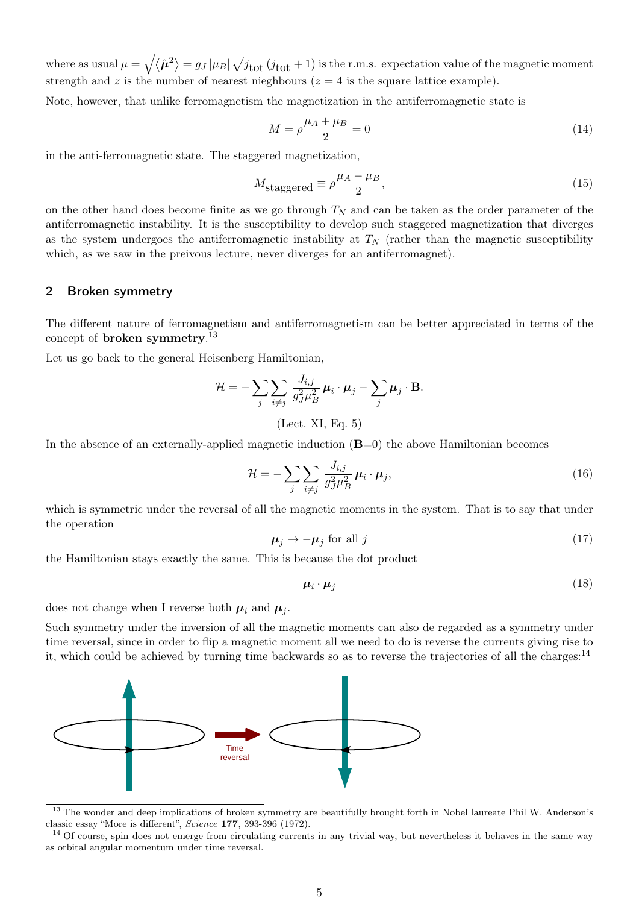where as usual  $\mu = \sqrt{\langle \hat{\mu}^2\rangle} = g_J |\mu_B| \sqrt{j_{\rm tot} (j_{\rm tot} + 1)}$  is the r.m.s. expectation value of the magnetic moment strength and z is the number of nearest nieghbours ( $z = 4$  is the square lattice example).

Note, however, that unlike ferromagnetism the magnetization in the antiferromagnetic state is

$$
M = \rho \frac{\mu_A + \mu_B}{2} = 0 \tag{14}
$$

in the anti-ferromagnetic state. The staggered magnetization,

$$
M_{\text{staggered}} \equiv \rho \frac{\mu_A - \mu_B}{2},\tag{15}
$$

on the other hand does become finite as we go through  $T_N$  and can be taken as the order parameter of the antiferromagnetic instability. It is the susceptibility to develop such staggered magnetization that diverges as the system undergoes the antiferromagnetic instability at  $T_N$  (rather than the magnetic susceptibility which, as we saw in the preivous lecture, never diverges for an antiferromagnet).

## 2 Broken symmetry

The different nature of ferromagnetism and antiferromagnetism can be better appreciated in terms of the concept of **broken symmetry**.<sup>13</sup>

Let us go back to the general Heisenberg Hamiltonian,

$$
\mathcal{H} = -\sum_{j} \sum_{i \neq j} \frac{J_{i,j}}{g_{J}^{2} \mu_{B}^{2}} \boldsymbol{\mu}_{i} \cdot \boldsymbol{\mu}_{j} - \sum_{j} \boldsymbol{\mu}_{j} \cdot \mathbf{B}.
$$
  
(Let. XI, Eq. 5)

In the absence of an externally-applied magnetic induction  $(B=0)$  the above Hamiltonian becomes

$$
\mathcal{H} = -\sum_{j} \sum_{i \neq j} \frac{J_{i,j}}{g_{J}^{2} \mu_{B}^{2}} \mu_{i} \cdot \mu_{j}, \qquad (16)
$$

which is symmetric under the reversal of all the magnetic moments in the system. That is to say that under the operation

$$
\mu_j \to -\mu_j \text{ for all } j \tag{17}
$$

the Hamiltonian stays exactly the same. This is because the dot product

$$
\boldsymbol{\mu}_i \cdot \boldsymbol{\mu}_j \tag{18}
$$

does not change when I reverse both  $\mu_i$  and  $\mu_j$ .

Such symmetry under the inversion of all the magnetic moments can also de regarded as a symmetry under time reversal, since in order to flip a magnetic moment all we need to do is reverse the currents giving rise to it, which could be achieved by turning time backwards so as to reverse the trajectories of all the charges:14



<sup>&</sup>lt;sup>13</sup> The wonder and deep implications of broken symmetry are beautifully brought forth in Nobel laureate Phil W. Anderson's classic essay "More is different", Science 177, 393-396 (1972).

<sup>&</sup>lt;sup>14</sup> Of course, spin does not emerge from circulating currents in any trivial way, but nevertheless it behaves in the same way as orbital angular momentum under time reversal.